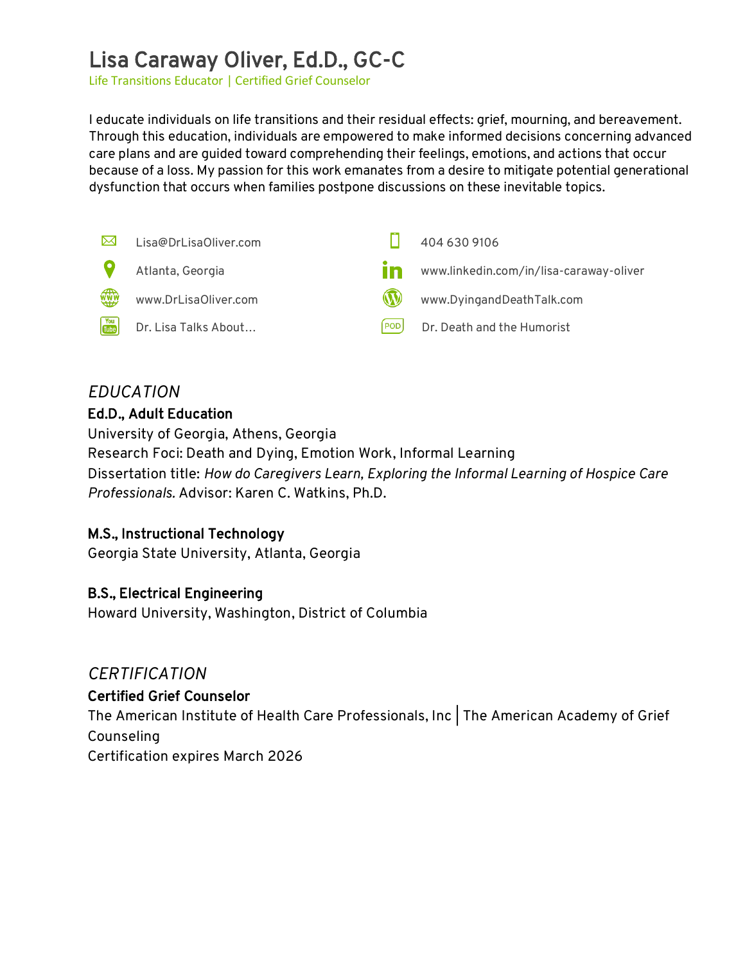# Lisa Caraway Oliver, Ed.D., GC-C

Life Transitions Educator | Certified Grief Counselor

I educate individuals on life transitions and their residual effects: grief, mourning, and bereavement. Through this education, individuals are empowered to make informed decisions concerning advanced care plans and are guided toward comprehending their feelings, emotions, and actions that occur because of a loss. My passion for this work emanates from a desire to mitigate potential generational dysfunction that occurs when families postpone discussions on these inevitable topics.



### *EDUCATION* Ed.D., Adult Education

University of Georgia, Athens, Georgia Research Foci: Death and Dying, Emotion Work, Informal Learning Dissertation title: *How do Caregivers Learn, Exploring the Informal Learning of Hospice Care Professionals.* Advisor: Karen C. Watkins, Ph.D.

### M.S., Instructional Technology

Georgia State University, Atlanta, Georgia

### B.S., Electrical Engineering

Howard University, Washington, District of Columbia

# *CERTIFICATION*

#### Certified Grief Counselor

The American Institute of Health Care Professionals, Inc | The American Academy of Grief Counseling Certification expires March 2026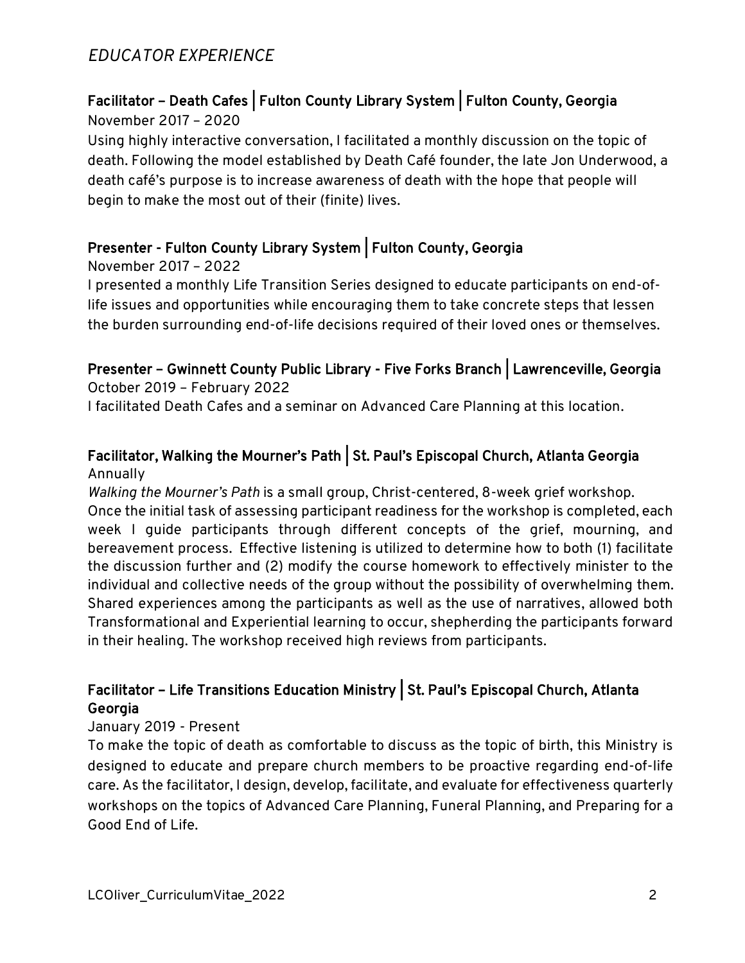# *EDUCATOR EXPERIENCE*

### Facilitator – Death Cafes | Fulton County Library System | Fulton County, Georgia November 2017 – 2020

Using highly interactive conversation, I facilitated a monthly discussion on the topic of death. Following the model established by Death Café founder, the late Jon Underwood, a death café's purpose is to increase awareness of death with the hope that people will begin to make the most out of their (finite) lives.

# Presenter - Fulton County Library System | Fulton County, Georgia

November 2017 – 2022

I presented a monthly Life Transition Series designed to educate participants on end-oflife issues and opportunities while encouraging them to take concrete steps that lessen the burden surrounding end-of-life decisions required of their loved ones or themselves.

# Presenter – Gwinnett County Public Library - Five Forks Branch | Lawrenceville, Georgia

October 2019 – February 2022 I facilitated Death Cafes and a seminar on Advanced Care Planning at this location.

#### Facilitator, Walking the Mourner's Path | St. Paul's Episcopal Church, Atlanta Georgia Annually

*Walking the Mourner's Path* is a small group, Christ-centered, 8-week grief workshop.

Once the initial task of assessing participant readiness for the workshop is completed, each week I guide participants through different concepts of the grief, mourning, and bereavement process. Effective listening is utilized to determine how to both (1) facilitate the discussion further and (2) modify the course homework to effectively minister to the individual and collective needs of the group without the possibility of overwhelming them. Shared experiences among the participants as well as the use of narratives, allowed both Transformational and Experiential learning to occur, shepherding the participants forward in their healing. The workshop received high reviews from participants.

### Facilitator – Life Transitions Education Ministry | St. Paul's Episcopal Church, Atlanta Georgia

### January 2019 - Present

To make the topic of death as comfortable to discuss as the topic of birth, this Ministry is designed to educate and prepare church members to be proactive regarding end-of-life care. As the facilitator, I design, develop, facilitate, and evaluate for effectiveness quarterly workshops on the topics of Advanced Care Planning, Funeral Planning, and Preparing for a Good End of Life.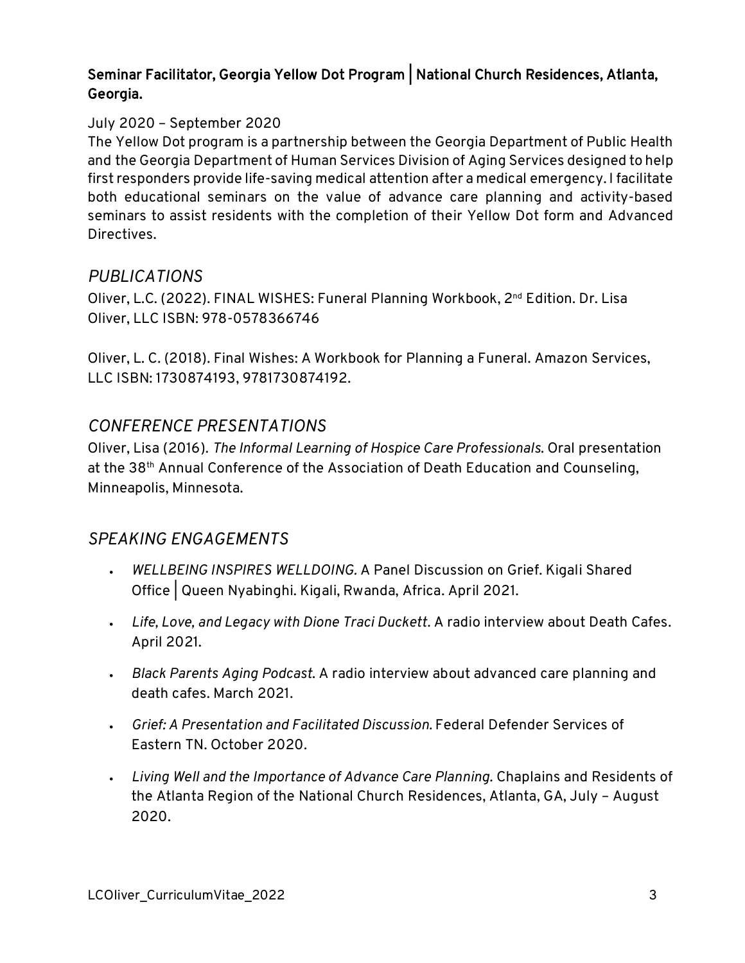### Seminar Facilitator, Georgia Yellow Dot Program | National Church Residences, Atlanta, Georgia.

### July 2020 – September 2020

The Yellow Dot program is a partnership between the Georgia Department of Public Health and the Georgia Department of Human Services Division of Aging Services designed to help first responders provide life-saving medical attention after a medical emergency. I facilitate both educational seminars on the value of advance care planning and activity-based seminars to assist residents with the completion of their Yellow Dot form and Advanced Directives.

### *PUBLICATIONS*

Oliver, L.C. (2022). FINAL WISHES: Funeral Planning Workbook, 2nd Edition. Dr. Lisa Oliver, LLC ISBN: 978-0578366746

Oliver, L. C. (2018). Final Wishes: A Workbook for Planning a Funeral. Amazon Services, LLC ISBN: 1730874193, 9781730874192.

# *CONFERENCE PRESENTATIONS*

Oliver, Lisa (2016). *The Informal Learning of Hospice Care Professionals*. Oral presentation at the 38th Annual Conference of the Association of Death Education and Counseling, Minneapolis, Minnesota.

# *SPEAKING ENGAGEMENTS*

- *WELLBEING INSPIRES WELLDOING.* A Panel Discussion on Grief. Kigali Shared Office | Queen Nyabinghi. Kigali, Rwanda, Africa. April 2021.
- *Life, Love, and Legacy with Dione Traci Duckett.* A radio interview about Death Cafes. April 2021.
- *Black Parents Aging Podcast*. A radio interview about advanced care planning and death cafes. March 2021.
- *Grief: A Presentation and Facilitated Discussion.* Federal Defender Services of Eastern TN. October 2020.
- *Living Well and the Importance of Advance Care Planning.* Chaplains and Residents of the Atlanta Region of the National Church Residences, Atlanta, GA, July – August 2020.